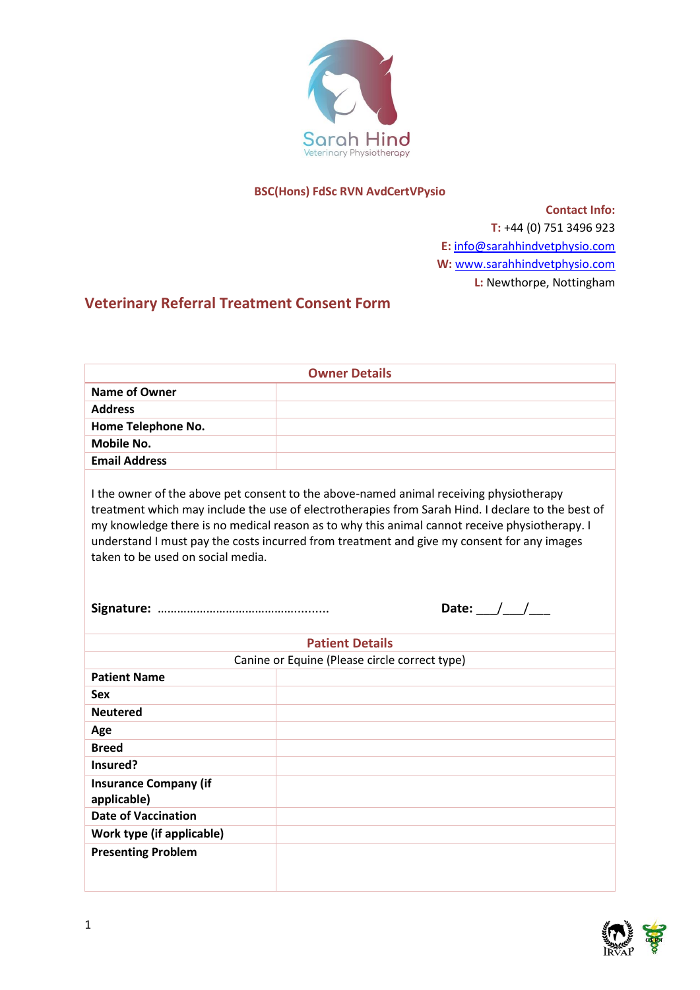

#### **BSC(Hons) FdSc RVN AvdCertVPysio**

**Contact Info: T:** +44 (0) 751 3496 923 **E:** [info@sarahhindvetphysio.com](mailto:info@sarahhindvetphysio.com) **W:** [www.sarahhindvetphysio.com](http://www.sarahhindvetphysio.com/) **L:** Newthorpe, Nottingham

# **Veterinary Referral Treatment Consent Form**

| <b>Owner Details</b>                                                                                                                                                                                                                                                                                                                                                                                                                           |                        |  |  |  |
|------------------------------------------------------------------------------------------------------------------------------------------------------------------------------------------------------------------------------------------------------------------------------------------------------------------------------------------------------------------------------------------------------------------------------------------------|------------------------|--|--|--|
| <b>Name of Owner</b>                                                                                                                                                                                                                                                                                                                                                                                                                           |                        |  |  |  |
| <b>Address</b>                                                                                                                                                                                                                                                                                                                                                                                                                                 |                        |  |  |  |
| Home Telephone No.                                                                                                                                                                                                                                                                                                                                                                                                                             |                        |  |  |  |
| <b>Mobile No.</b>                                                                                                                                                                                                                                                                                                                                                                                                                              |                        |  |  |  |
| <b>Email Address</b>                                                                                                                                                                                                                                                                                                                                                                                                                           |                        |  |  |  |
| I the owner of the above pet consent to the above-named animal receiving physiotherapy<br>treatment which may include the use of electrotherapies from Sarah Hind. I declare to the best of<br>my knowledge there is no medical reason as to why this animal cannot receive physiotherapy. I<br>understand I must pay the costs incurred from treatment and give my consent for any images<br>taken to be used on social media.<br>Date: $/$ / |                        |  |  |  |
|                                                                                                                                                                                                                                                                                                                                                                                                                                                | <b>Patient Details</b> |  |  |  |
| Canine or Equine (Please circle correct type)                                                                                                                                                                                                                                                                                                                                                                                                  |                        |  |  |  |
| <b>Patient Name</b>                                                                                                                                                                                                                                                                                                                                                                                                                            |                        |  |  |  |
| Sex                                                                                                                                                                                                                                                                                                                                                                                                                                            |                        |  |  |  |
| <b>Neutered</b>                                                                                                                                                                                                                                                                                                                                                                                                                                |                        |  |  |  |
| Age                                                                                                                                                                                                                                                                                                                                                                                                                                            |                        |  |  |  |
| <b>Breed</b>                                                                                                                                                                                                                                                                                                                                                                                                                                   |                        |  |  |  |
| Insured?                                                                                                                                                                                                                                                                                                                                                                                                                                       |                        |  |  |  |
| <b>Insurance Company (if</b><br>applicable)                                                                                                                                                                                                                                                                                                                                                                                                    |                        |  |  |  |
| <b>Date of Vaccination</b>                                                                                                                                                                                                                                                                                                                                                                                                                     |                        |  |  |  |
| Work type (if applicable)                                                                                                                                                                                                                                                                                                                                                                                                                      |                        |  |  |  |
| <b>Presenting Problem</b>                                                                                                                                                                                                                                                                                                                                                                                                                      |                        |  |  |  |

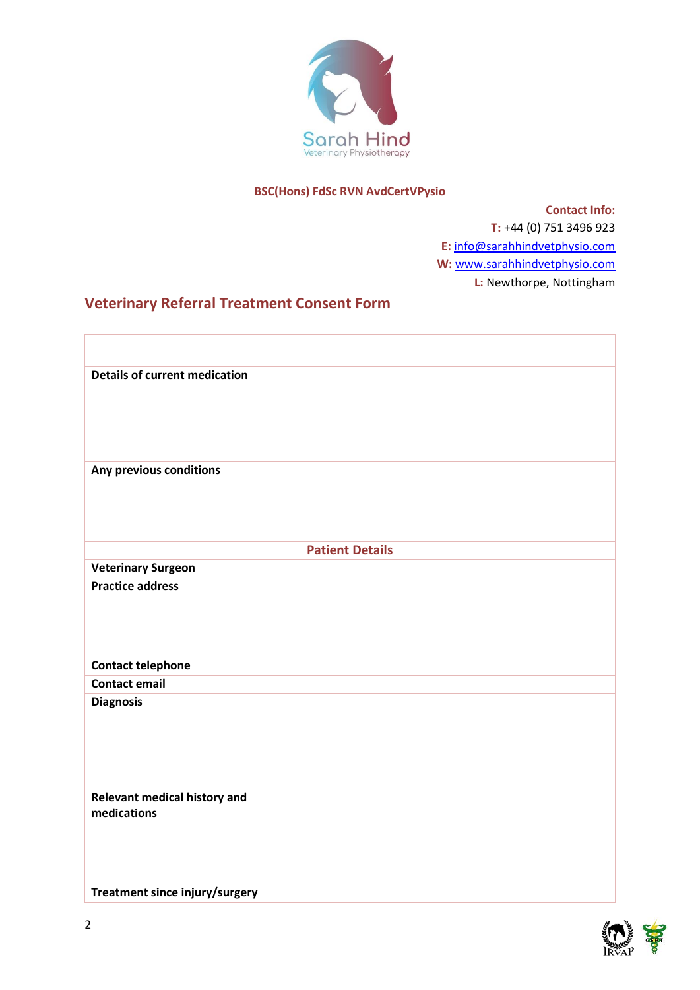

### **BSC(Hons) FdSc RVN AvdCertVPysio**

**Contact Info: T:** +44 (0) 751 3496 923 **E:** [info@sarahhindvetphysio.com](mailto:info@sarahhindvetphysio.com) **W:** [www.sarahhindvetphysio.com](http://www.sarahhindvetphysio.com/) **L:** Newthorpe, Nottingham

### **Veterinary Referral Treatment Consent Form**

| <b>Details of current medication</b>               |  |  |  |
|----------------------------------------------------|--|--|--|
| Any previous conditions                            |  |  |  |
| <b>Patient Details</b>                             |  |  |  |
| <b>Veterinary Surgeon</b>                          |  |  |  |
| <b>Practice address</b>                            |  |  |  |
| <b>Contact telephone</b>                           |  |  |  |
| <b>Contact email</b>                               |  |  |  |
| <b>Diagnosis</b>                                   |  |  |  |
| <b>Relevant medical history and</b><br>medications |  |  |  |
| Treatment since injury/surgery                     |  |  |  |